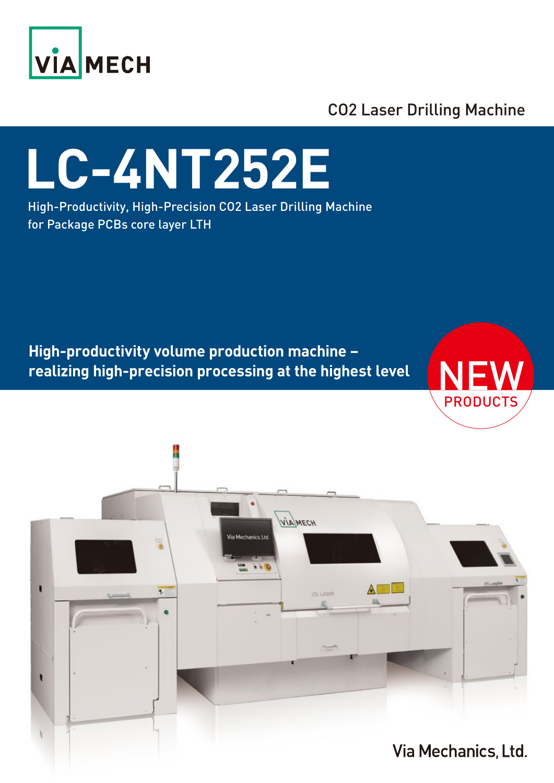

CO2 Laser Drilling Machine

# **LC-4NT252E**

High-Productivity, High-Precision CO2 Laser Drilling Machine for Package PCBs core layer LTH

**High-productivity volume production machine – realizing high-precision processing at the highest level**